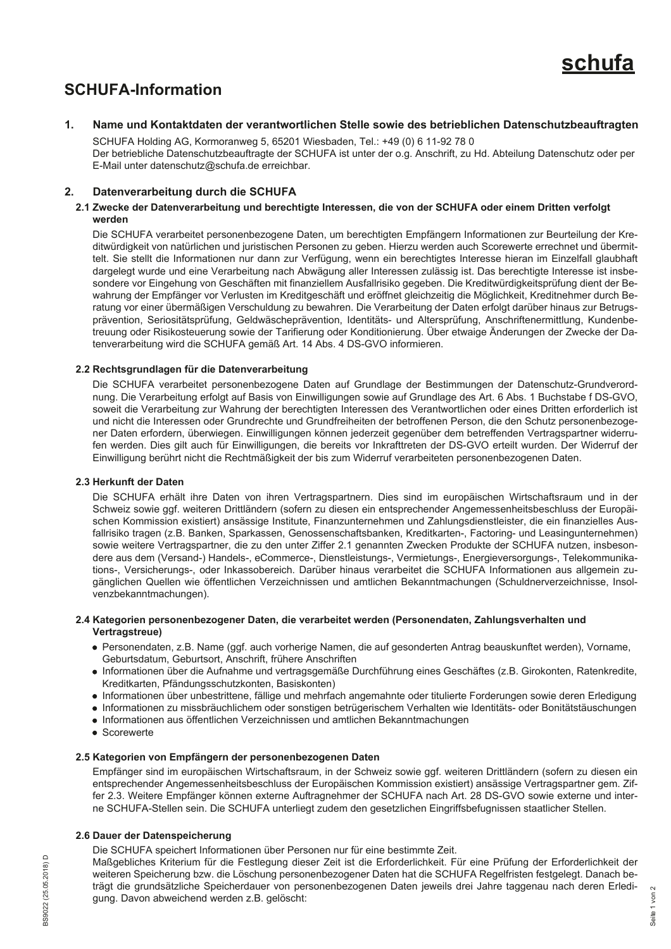

# **SCHUFA-Information**

#### $\mathbf{1}$ Name und Kontaktdaten der verantwortlichen Stelle sowie des betrieblichen Datenschutzbeauftragten

SCHUFA Holding AG, Kormoranweg 5, 65201 Wiesbaden, Tel.: +49 (0) 6 11-92 78 0 Der betriebliche Datenschutzbeauftragte der SCHUFA ist unter der o.g. Anschrift, zu Hd. Abteilung Datenschutz oder per E-Mail unter datenschutz@schufa.de erreichbar.

#### $2.$ Datenverarbeitung durch die SCHUFA

### 2.1 Zwecke der Datenverarbeitung und berechtigte Interessen, die von der SCHUFA oder einem Dritten verfolgt werden

Die SCHUFA verarbeitet personenbezogene Daten, um berechtigten Empfängern Informationen zur Beurteilung der Kreditwürdigkeit von natürlichen und juristischen Personen zu geben. Hierzu werden auch Scorewerte errechnet und übermittelt. Sie stellt die Informationen nur dann zur Verfügung, wenn ein berechtigtes Interesse hieran im Einzelfall glaubhaft dargelegt wurde und eine Verarbeitung nach Abwägung aller Interessen zulässig ist. Das berechtigte Interesse ist insbesondere vor Eingehung von Geschäften mit finanziellem Ausfallrisiko gegeben. Die Kreditwürdigkeitsprüfung dient der Bewahrung der Empfänger vor Verlusten im Kreditgeschäft und eröffnet gleichzeitig die Möglichkeit, Kreditnehmer durch Beratung vor einer übermäßigen Verschuldung zu bewahren. Die Verarbeitung der Daten erfolgt darüber hinaus zur Betrugsprävention. Seriositätsprüfung, Geldwäscheprävention, Identitäts- und Altersprüfung, Anschriftenermittlung, Kundenbetreuung oder Risikosteuerung sowie der Tarifierung oder Konditionierung. Über etwaige Änderungen der Zwecke der Datenverarbeitung wird die SCHUFA gemäß Art. 14 Abs. 4 DS-GVO informieren.

# 2.2 Rechtsgrundlagen für die Datenverarbeitung

Die SCHUFA verarbeitet personenbezogene Daten auf Grundlage der Bestimmungen der Datenschutz-Grundverordnung. Die Verarbeitung erfolgt auf Basis von Einwilligungen sowie auf Grundlage des Art. 6 Abs. 1 Buchstabe f DS-GVO, soweit die Verarbeitung zur Wahrung der berechtigten Interessen des Verantwortlichen oder eines Dritten erforderlich ist und nicht die Interessen oder Grundrechte und Grundfreiheiten der betroffenen Person, die den Schutz personenbezogener Daten erfordern, überwiegen. Einwilligungen können jederzeit gegenüber dem betreffenden Vertragspartner widerrufen werden. Dies gilt auch für Einwilligungen, die bereits vor Inkrafttreten der DS-GVO erteilt wurden. Der Widerruf der Einwilligung berührt nicht die Rechtmäßigkeit der bis zum Widerruf verarbeiteten personenbezogenen Daten.

# 2.3 Herkunft der Daten

Die SCHUFA erhält ihre Daten von ihren Vertragspartnern. Dies sind im europäischen Wirtschaftsraum und in der Schweiz sowie ggf. weiteren Drittländern (sofern zu diesen ein entsprechender Angemessenheitsbeschluss der Europäischen Kommission existiert) ansässige Institute, Finanzunternehmen und Zahlungsdienstleister, die ein finanzielles Ausfallrisiko tragen (z.B. Banken, Sparkassen, Genossenschaftsbanken, Kreditkarten-, Factoring- und Leasingunternehmen) sowie weitere Vertragspartner, die zu den unter Ziffer 2.1 genannten Zwecken Produkte der SCHUFA nutzen, insbesondere aus dem (Versand-) Handels-, eCommerce-, Dienstleistungs-, Vermietungs-, Energieversorgungs-, Telekommunikations-, Versicherungs-, oder Inkassobereich. Darüber hinaus verarbeitet die SCHUFA Informationen aus allgemein zugänglichen Quellen wie öffentlichen Verzeichnissen und amtlichen Bekanntmachungen (Schuldnerverzeichnisse, Insolvenzbekanntmachungen).

### 2.4 Kategorien personenbezogener Daten, die verarbeitet werden (Personendaten, Zahlungsverhalten und Vertragstreue)

- · Personendaten, z.B. Name (ggf. auch vorherige Namen, die auf gesonderten Antrag beauskunftet werden), Vorname, Geburtsdatum, Geburtsort, Anschrift, frühere Anschriften
- · Informationen über die Aufnahme und vertragsgemäße Durchführung eines Geschäftes (z.B. Girokonten, Ratenkredite, Kreditkarten, Pfändungsschutzkonten, Basiskonten)
- Informationen über unbestrittene, fällige und mehrfach angemahnte oder titulierte Forderungen sowie deren Erledigung
- Informationen zu missbräuchlichem oder sonstigen betrügerischem Verhalten wie Identitäts- oder Bonitätstäuschungen
- Informationen aus öffentlichen Verzeichnissen und amtlichen Bekanntmachungen
- Scorewerte

# 2.5 Kategorien von Empfängern der personenbezogenen Daten

Empfänger sind im europäischen Wirtschaftsraum, in der Schweiz sowie ggf, weiteren Drittländern (sofern zu diesen ein entsprechender Angemessenheitsbeschluss der Europäischen Kommission existiert) ansässige Vertragspartner gem. Ziffer 2.3. Weitere Empfänger können externe Auftragnehmer der SCHUFA nach Art. 28 DS-GVO sowie externe und interne SCHUFA-Stellen sein. Die SCHUFA unterliegt zudem den gesetzlichen Eingriffsbefugnissen staatlicher Stellen.

# 2.6 Dauer der Datenspeicherung

Die SCHUFA speichert Informationen über Personen nur für eine bestimmte Zeit.

Maßgebliches Kriterium für die Festlegung dieser Zeit ist die Erforderlichkeit. Für eine Prüfung der Erforderlichkeit der weiteren Speicherung bzw. die Löschung personenbezogener Daten hat die SCHUFA Regelfristen festgelegt. Danach beträgt die grundsätzliche Speicherdauer von personenbezogenen Daten jeweils drei Jahre taggenau nach deren Erledigung. Davon abweichend werden z.B. gelöscht: